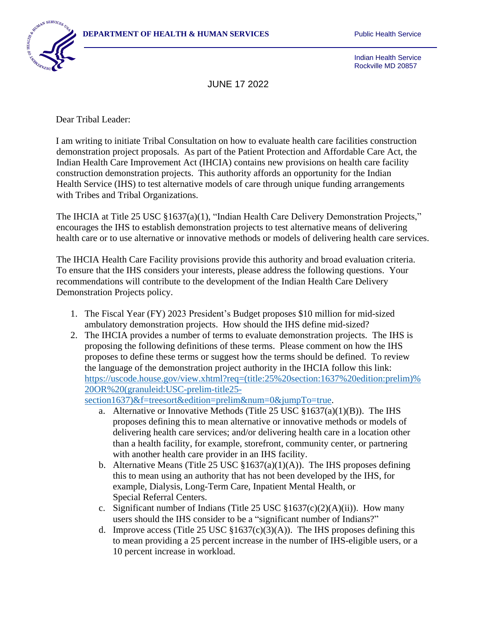

Indian Health Service Rockville MD 20857

JUNE 17 2022

Dear Tribal Leader:

I am writing to initiate Tribal Consultation on how to evaluate health care facilities construction demonstration project proposals. As part of the Patient Protection and Affordable Care Act, the Indian Health Care Improvement Act (IHCIA) contains new provisions on health care facility construction demonstration projects. This authority affords an opportunity for the Indian Health Service (IHS) to test alternative models of care through unique funding arrangements with Tribes and Tribal Organizations.

The IHCIA at Title 25 USC §1637(a)(1), "Indian Health Care Delivery Demonstration Projects," encourages the IHS to establish demonstration projects to test alternative means of delivering health care or to use alternative or innovative methods or models of delivering health care services.

The IHCIA Health Care Facility provisions provide this authority and broad evaluation criteria. To ensure that the IHS considers your interests, please address the following questions. Your recommendations will contribute to the development of the Indian Health Care Delivery Demonstration Projects policy.

- 1. The Fiscal Year (FY) 2023 President's Budget proposes \$10 million for mid-sized ambulatory demonstration projects. How should the IHS define mid-sized?
- 2. The IHCIA provides a number of terms to evaluate demonstration projects. The IHS is proposing the following definitions of these terms. Please comment on how the IHS proposes to define these terms or suggest how the terms should be defined. To review the language of the demonstration project authority in the IHCIA follow this link: [https://uscode.house.gov/view.xhtml?req=\(title:25%20section:1637%20edition:prelim\)%](https://uscode.house.gov/view.xhtml?req=(title:25%20section:1637%20edition:prelim)%20OR%20(granuleid:USC-prelim-title25-section1637)&f=treesort&edition=prelim&num=0&jumpTo=true) [20OR%20\(granuleid:USC-prelim-title25-](https://uscode.house.gov/view.xhtml?req=(title:25%20section:1637%20edition:prelim)%20OR%20(granuleid:USC-prelim-title25-section1637)&f=treesort&edition=prelim&num=0&jumpTo=true)

[section1637\)&f=treesort&edition=prelim&num=0&jumpTo=true.](https://uscode.house.gov/view.xhtml?req=(title:25%20section:1637%20edition:prelim)%20OR%20(granuleid:USC-prelim-title25-section1637)&f=treesort&edition=prelim&num=0&jumpTo=true)

- a. Alternative or Innovative Methods (Title 25 USC  $\S 1637(a)(1)(B)$ ). The IHS proposes defining this to mean alternative or innovative methods or models of delivering health care services; and/or delivering health care in a location other than a health facility, for example, storefront, community center, or partnering with another health care provider in an IHS facility.
- b. Alternative Means (Title 25 USC  $\S 1637(a)(1)(A)$ ). The IHS proposes defining this to mean using an authority that has not been developed by the IHS, for example, Dialysis, Long-Term Care, Inpatient Mental Health, or Special Referral Centers.
- c. Significant number of Indians (Title 25 USC  $$1637(c)(2)(A)(ii)$ ). How many users should the IHS consider to be a "significant number of Indians?"
- d. Improve access (Title 25 USC  $\S1637(c)(3)(A)$ ). The IHS proposes defining this to mean providing a 25 percent increase in the number of IHS-eligible users, or a 10 percent increase in workload.